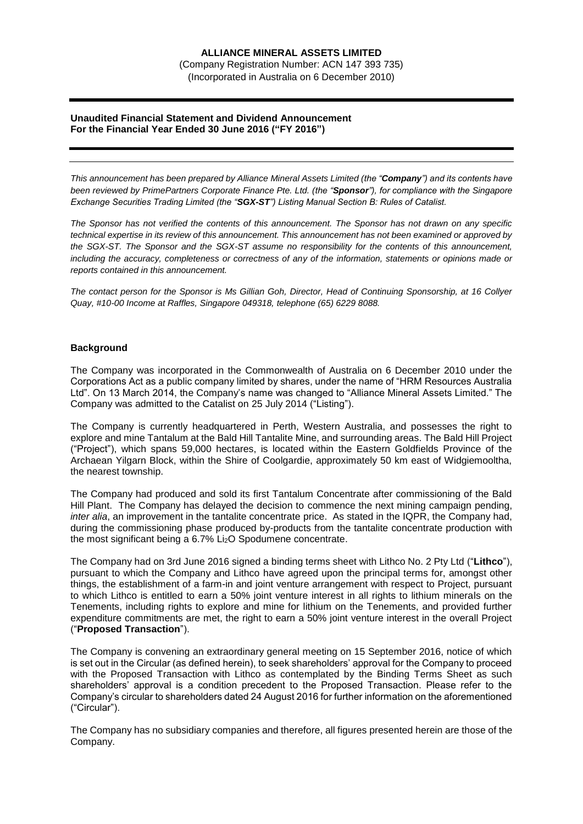# **ALLIANCE MINERAL ASSETS LIMITED**

(Company Registration Number: ACN 147 393 735)

(Incorporated in Australia on 6 December 2010)

### **Unaudited Financial Statement and Dividend Announcement For the Financial Year Ended 30 June 2016 ("FY 2016")**

*This announcement has been prepared by Alliance Mineral Assets Limited (the "Company") and its contents have been reviewed by PrimePartners Corporate Finance Pte. Ltd. (the "Sponsor"), for compliance with the Singapore Exchange Securities Trading Limited (the "SGX-ST") Listing Manual Section B: Rules of Catalist.* 

*The Sponsor has not verified the contents of this announcement. The Sponsor has not drawn on any specific technical expertise in its review of this announcement. This announcement has not been examined or approved by the SGX-ST. The Sponsor and the SGX-ST assume no responsibility for the contents of this announcement, including the accuracy, completeness or correctness of any of the information, statements or opinions made or reports contained in this announcement.*

*The contact person for the Sponsor is Ms Gillian Goh, Director, Head of Continuing Sponsorship, at 16 Collyer Quay, #10-00 Income at Raffles, Singapore 049318, telephone (65) 6229 8088.*

# **Background**

The Company was incorporated in the Commonwealth of Australia on 6 December 2010 under the Corporations Act as a public company limited by shares, under the name of "HRM Resources Australia Ltd". On 13 March 2014, the Company's name was changed to "Alliance Mineral Assets Limited." The Company was admitted to the Catalist on 25 July 2014 ("Listing").

The Company is currently headquartered in Perth, Western Australia, and possesses the right to explore and mine Tantalum at the Bald Hill Tantalite Mine, and surrounding areas. The Bald Hill Project ("Project"), which spans 59,000 hectares, is located within the Eastern Goldfields Province of the Archaean Yilgarn Block, within the Shire of Coolgardie, approximately 50 km east of Widgiemooltha, the nearest township.

The Company had produced and sold its first Tantalum Concentrate after commissioning of the Bald Hill Plant. The Company has delayed the decision to commence the next mining campaign pending, *inter alia*, an improvement in the tantalite concentrate price. As stated in the IQPR, the Company had, during the commissioning phase produced by-products from the tantalite concentrate production with the most significant being a 6.7% Li2O Spodumene concentrate.

The Company had on 3rd June 2016 signed a binding terms sheet with Lithco No. 2 Pty Ltd ("**Lithco**"), pursuant to which the Company and Lithco have agreed upon the principal terms for, amongst other things, the establishment of a farm-in and joint venture arrangement with respect to Project, pursuant to which Lithco is entitled to earn a 50% joint venture interest in all rights to lithium minerals on the Tenements, including rights to explore and mine for lithium on the Tenements, and provided further expenditure commitments are met, the right to earn a 50% joint venture interest in the overall Project ("**Proposed Transaction**").

The Company is convening an extraordinary general meeting on 15 September 2016, notice of which is set out in the Circular (as defined herein), to seek shareholders' approval for the Company to proceed with the Proposed Transaction with Lithco as contemplated by the Binding Terms Sheet as such shareholders' approval is a condition precedent to the Proposed Transaction. Please refer to the Company's circular to shareholders dated 24 August 2016 for further information on the aforementioned ("Circular").

The Company has no subsidiary companies and therefore, all figures presented herein are those of the Company.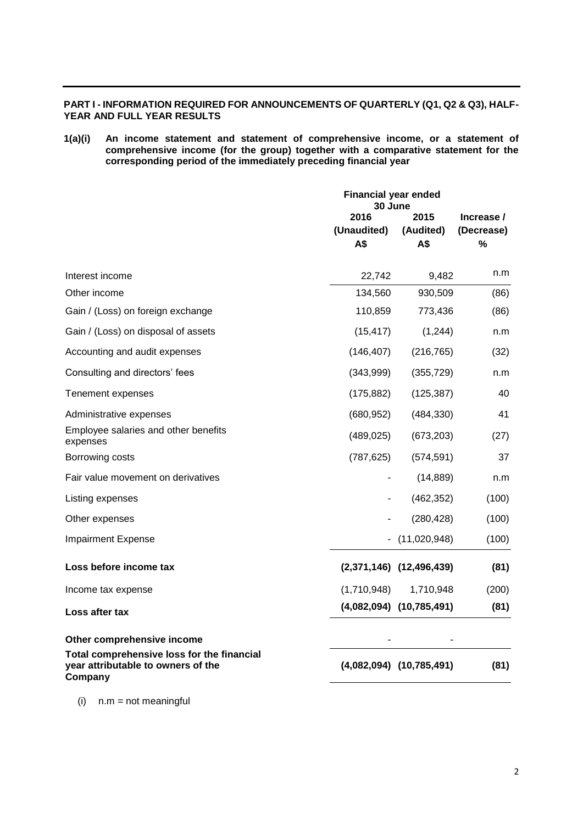# **PART I - INFORMATION REQUIRED FOR ANNOUNCEMENTS OF QUARTERLY (Q1, Q2 & Q3), HALF-YEAR AND FULL YEAR RESULTS**

**1(a)(i) An income statement and statement of comprehensive income, or a statement of comprehensive income (for the group) together with a comparative statement for the corresponding period of the immediately preceding financial year**

|                                                                                             | <b>Financial year ended</b><br>30 June |                              |            |
|---------------------------------------------------------------------------------------------|----------------------------------------|------------------------------|------------|
|                                                                                             | 2016<br>2015                           |                              | Increase / |
|                                                                                             | (Unaudited)                            | (Audited)                    | (Decrease) |
|                                                                                             | A\$                                    | A\$                          | %          |
| Interest income                                                                             | 22,742                                 | 9,482                        | n.m        |
| Other income                                                                                | 134,560                                | 930,509                      | (86)       |
| Gain / (Loss) on foreign exchange                                                           | 110,859                                | 773,436                      | (86)       |
| Gain / (Loss) on disposal of assets                                                         | (15, 417)                              | (1, 244)                     | n.m        |
| Accounting and audit expenses                                                               | (146, 407)                             | (216, 765)                   | (32)       |
| Consulting and directors' fees                                                              | (343,999)                              | (355, 729)                   | n.m        |
| Tenement expenses                                                                           | (175, 882)                             | (125, 387)                   | 40         |
| Administrative expenses                                                                     | (680, 952)                             | (484, 330)                   | 41         |
| Employee salaries and other benefits<br>expenses                                            | (489, 025)                             | (673, 203)                   | (27)       |
| Borrowing costs                                                                             | (787, 625)                             | (574, 591)                   | 37         |
| Fair value movement on derivatives                                                          |                                        | (14, 889)                    | n.m        |
| Listing expenses                                                                            |                                        | (462, 352)                   | (100)      |
| Other expenses                                                                              |                                        | (280, 428)                   | (100)      |
| <b>Impairment Expense</b>                                                                   |                                        | $-$ (11,020,948)             | (100)      |
| Loss before income tax                                                                      |                                        | $(2,371,146)$ $(12,496,439)$ | (81)       |
| Income tax expense                                                                          | (1,710,948)                            | 1,710,948                    | (200)      |
| Loss after tax                                                                              |                                        | $(4,082,094)$ $(10,785,491)$ | (81)       |
| Other comprehensive income                                                                  |                                        |                              |            |
| Total comprehensive loss for the financial<br>year attributable to owners of the<br>Company |                                        | $(4,082,094)$ $(10,785,491)$ | (81)       |

 $(i)$  n.m = not meaningful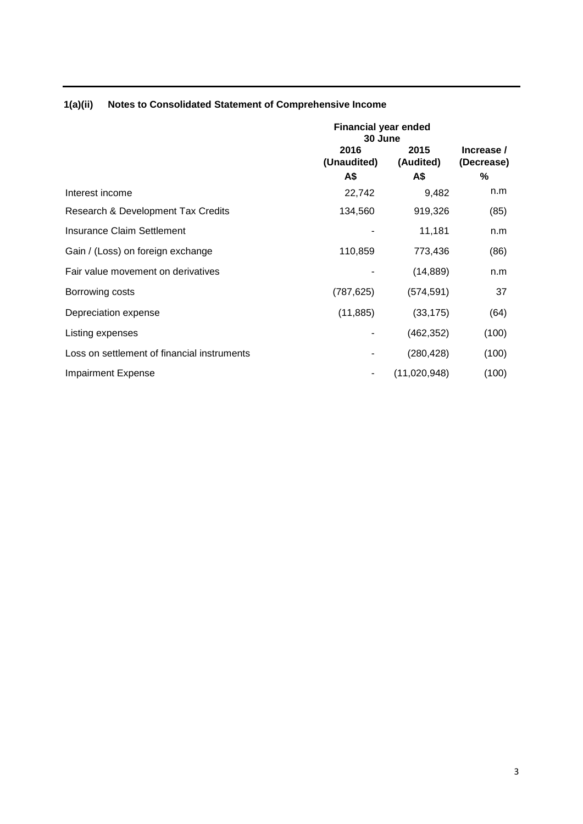|                                             | <b>Financial year ended</b><br>30 June |                          |                               |  |
|---------------------------------------------|----------------------------------------|--------------------------|-------------------------------|--|
|                                             | 2016<br>(Unaudited)<br>A\$             | 2015<br>(Audited)<br>A\$ | Increase /<br>(Decrease)<br>% |  |
| Interest income                             | 22,742                                 | 9,482                    | n.m                           |  |
| Research & Development Tax Credits          | 134,560                                | 919,326                  | (85)                          |  |
| Insurance Claim Settlement                  |                                        | 11,181                   | n.m                           |  |
| Gain / (Loss) on foreign exchange           | 110,859                                | 773,436                  | (86)                          |  |
| Fair value movement on derivatives          |                                        | (14, 889)                | n.m                           |  |
| Borrowing costs                             | (787, 625)                             | (574, 591)               | 37                            |  |
| Depreciation expense                        | (11, 885)                              | (33, 175)                | (64)                          |  |
| Listing expenses                            |                                        | (462, 352)               | (100)                         |  |
| Loss on settlement of financial instruments |                                        | (280, 428)               | (100)                         |  |
| <b>Impairment Expense</b>                   |                                        | (11,020,948)             | (100)                         |  |

# **1(a)(ii) Notes to Consolidated Statement of Comprehensive Income**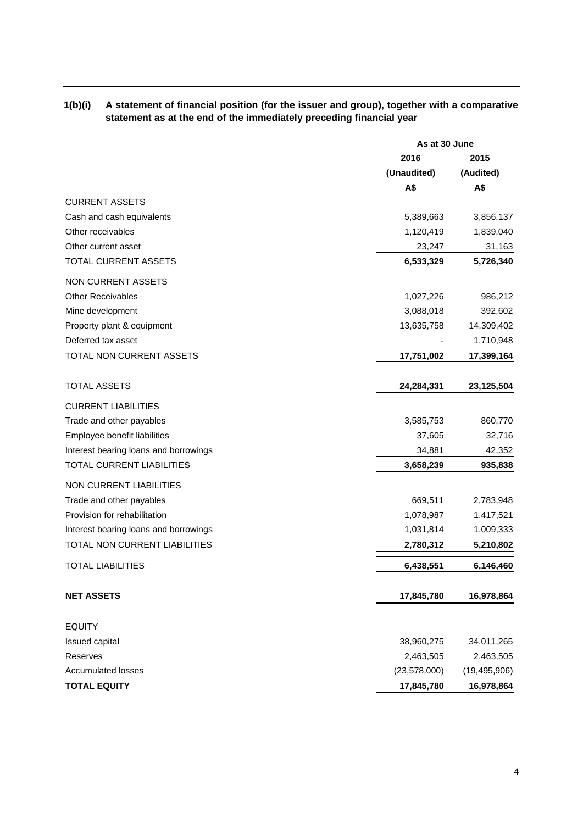# **1(b)(i) A statement of financial position (for the issuer and group), together with a comparative statement as at the end of the immediately preceding financial year**

|                                       | As at 30 June  |                |
|---------------------------------------|----------------|----------------|
|                                       | 2016           | 2015           |
|                                       | (Unaudited)    | (Audited)      |
|                                       | A\$            | A\$            |
| <b>CURRENT ASSETS</b>                 |                |                |
| Cash and cash equivalents             | 5,389,663      | 3,856,137      |
| Other receivables                     | 1,120,419      | 1,839,040      |
| Other current asset                   | 23,247         | 31,163         |
| TOTAL CURRENT ASSETS                  | 6,533,329      | 5,726,340      |
| NON CURRENT ASSETS                    |                |                |
| <b>Other Receivables</b>              | 1,027,226      | 986,212        |
| Mine development                      | 3,088,018      | 392,602        |
| Property plant & equipment            | 13,635,758     | 14,309,402     |
| Deferred tax asset                    |                | 1,710,948      |
| TOTAL NON CURRENT ASSETS              | 17,751,002     | 17,399,164     |
| <b>TOTAL ASSETS</b>                   | 24,284,331     | 23,125,504     |
| <b>CURRENT LIABILITIES</b>            |                |                |
| Trade and other payables              | 3,585,753      | 860,770        |
| Employee benefit liabilities          | 37,605         | 32,716         |
| Interest bearing loans and borrowings | 34,881         | 42,352         |
| TOTAL CURRENT LIABILITIES             | 3,658,239      | 935,838        |
| <b>NON CURRENT LIABILITIES</b>        |                |                |
| Trade and other payables              | 669,511        | 2,783,948      |
| Provision for rehabilitation          | 1,078,987      | 1,417,521      |
| Interest bearing loans and borrowings | 1,031,814      | 1,009,333      |
| TOTAL NON CURRENT LIABILITIES         | 2,780,312      | 5,210,802      |
| <b>TOTAL LIABILITIES</b>              | 6,438,551      | 6,146,460      |
| <b>NET ASSETS</b>                     | 17,845,780     | 16,978,864     |
| <b>EQUITY</b>                         |                |                |
| Issued capital                        | 38,960,275     | 34,011,265     |
| Reserves                              | 2,463,505      | 2,463,505      |
| <b>Accumulated losses</b>             | (23, 578, 000) | (19, 495, 906) |
| <b>TOTAL EQUITY</b>                   | 17,845,780     | 16,978,864     |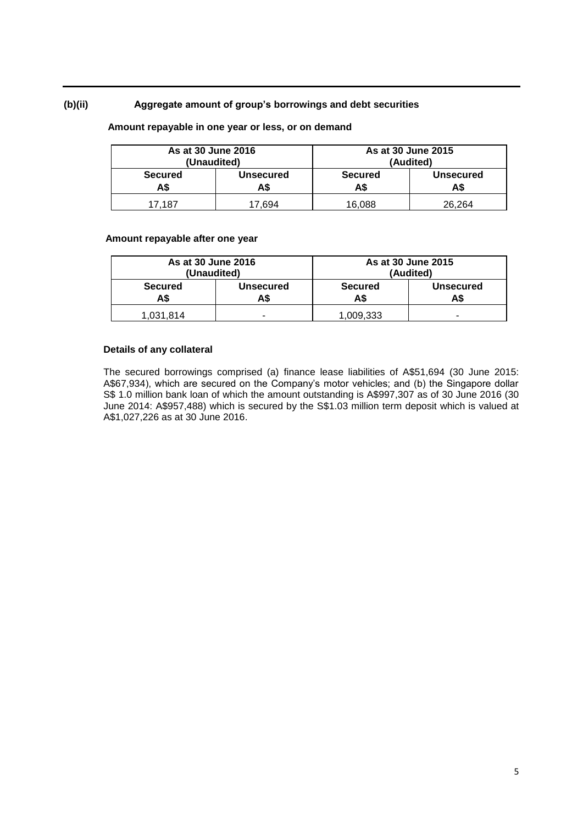# **(b)(ii) Aggregate amount of group's borrowings and debt securities**

# **Amount repayable in one year or less, or on demand**

| As at 30 June 2016<br>(Unaudited) |                         | As at 30 June 2015<br>(Audited)                  |        |
|-----------------------------------|-------------------------|--------------------------------------------------|--------|
| <b>Secured</b><br>A\$             | <b>Unsecured</b><br>A\$ | <b>Secured</b><br><b>Unsecured</b><br>A\$<br>A\$ |        |
| 17.187                            | .694                    | 16.088                                           | 26.264 |

#### **Amount repayable after one year**

| As at 30 June 2016<br>(Unaudited) |                         |                                                 | As at 30 June 2015<br>(Audited) |
|-----------------------------------|-------------------------|-------------------------------------------------|---------------------------------|
| <b>Secured</b><br>A\$             | <b>Unsecured</b><br>A\$ | <b>Secured</b><br><b>Unsecured</b><br>АS<br>AS. |                                 |
| 1,031,814                         | -                       | 1,009,333                                       | -                               |

### **Details of any collateral**

The secured borrowings comprised (a) finance lease liabilities of A\$51,694 (30 June 2015: A\$67,934), which are secured on the Company's motor vehicles; and (b) the Singapore dollar S\$ 1.0 million bank loan of which the amount outstanding is A\$997,307 as of 30 June 2016 (30 June 2014: A\$957,488) which is secured by the S\$1.03 million term deposit which is valued at A\$1,027,226 as at 30 June 2016.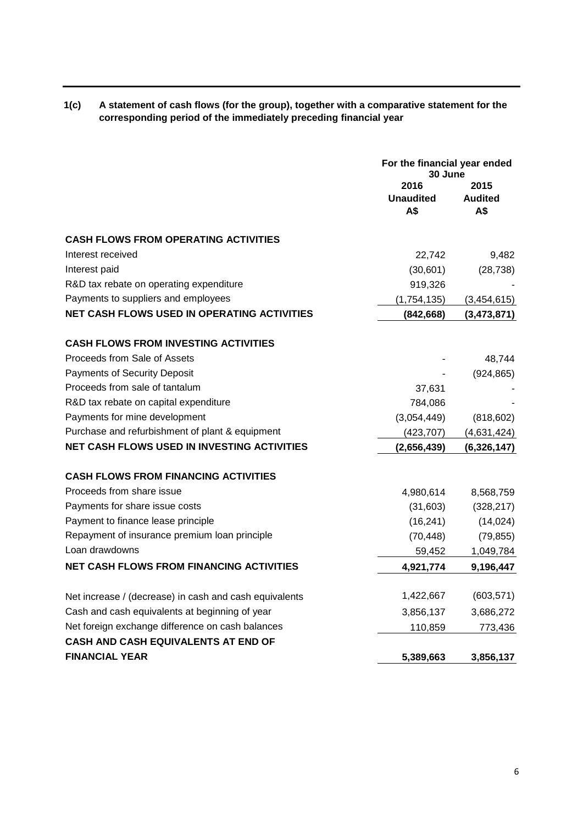| 1(c) | A statement of cash flows (for the group), together with a comparative statement for the |
|------|------------------------------------------------------------------------------------------|
|      | corresponding period of the immediately preceding financial year                         |

|                                                        | For the financial year ended<br>30 June |                               |
|--------------------------------------------------------|-----------------------------------------|-------------------------------|
|                                                        | 2016<br><b>Unaudited</b><br>A\$         | 2015<br><b>Audited</b><br>A\$ |
| <b>CASH FLOWS FROM OPERATING ACTIVITIES</b>            |                                         |                               |
| Interest received                                      | 22,742                                  | 9,482                         |
| Interest paid                                          | (30,601)                                | (28, 738)                     |
| R&D tax rebate on operating expenditure                | 919,326                                 |                               |
| Payments to suppliers and employees                    | (1,754,135)                             | (3,454,615)                   |
| NET CASH FLOWS USED IN OPERATING ACTIVITIES            | (842, 668)                              | (3,473,871)                   |
| <b>CASH FLOWS FROM INVESTING ACTIVITIES</b>            |                                         |                               |
| Proceeds from Sale of Assets                           |                                         | 48,744                        |
| <b>Payments of Security Deposit</b>                    |                                         | (924, 865)                    |
| Proceeds from sale of tantalum                         | 37,631                                  |                               |
| R&D tax rebate on capital expenditure                  | 784,086                                 |                               |
| Payments for mine development                          | (3,054,449)                             | (818, 602)                    |
| Purchase and refurbishment of plant & equipment        | (423, 707)                              | (4,631,424)                   |
| <b>NET CASH FLOWS USED IN INVESTING ACTIVITIES</b>     | (2,656,439)                             | (6,326,147)                   |
| <b>CASH FLOWS FROM FINANCING ACTIVITIES</b>            |                                         |                               |
| Proceeds from share issue                              | 4,980,614                               | 8,568,759                     |
| Payments for share issue costs                         | (31,603)                                | (328, 217)                    |
| Payment to finance lease principle                     | (16, 241)                               | (14, 024)                     |
| Repayment of insurance premium loan principle          | (70, 448)                               | (79, 855)                     |
| Loan drawdowns                                         | 59,452                                  | 1,049,784                     |
| <b>NET CASH FLOWS FROM FINANCING ACTIVITIES</b>        | 4,921,774                               | 9,196,447                     |
| Net increase / (decrease) in cash and cash equivalents | 1,422,667                               | (603, 571)                    |
| Cash and cash equivalents at beginning of year         | 3,856,137                               | 3,686,272                     |
| Net foreign exchange difference on cash balances       | 110,859                                 | 773,436                       |
| CASH AND CASH EQUIVALENTS AT END OF                    |                                         |                               |
| <b>FINANCIAL YEAR</b>                                  | 5,389,663                               | 3,856,137                     |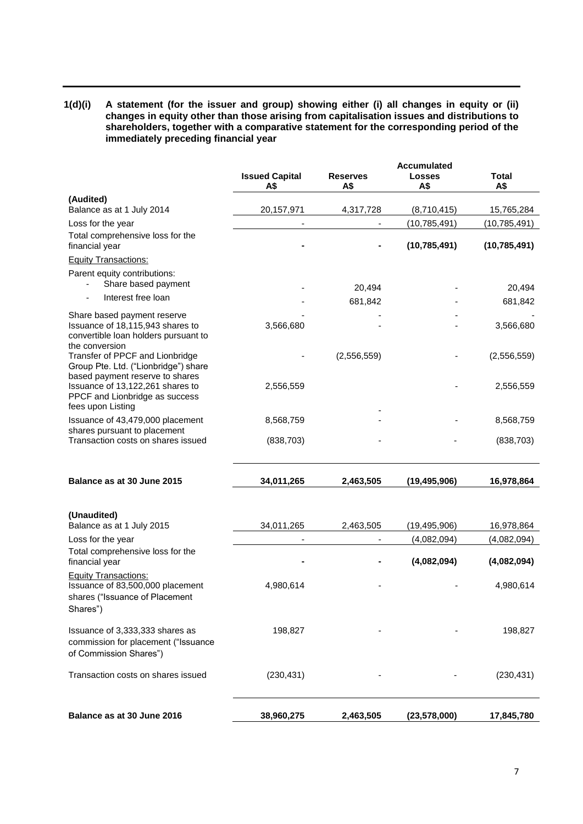**1(d)(i) A statement (for the issuer and group) showing either (i) all changes in equity or (ii) changes in equity other than those arising from capitalisation issues and distributions to shareholders, together with a comparative statement for the corresponding period of the immediately preceding financial year**

|                                                                                                                           |                              |                        | <b>Accumulated</b>   |                     |
|---------------------------------------------------------------------------------------------------------------------------|------------------------------|------------------------|----------------------|---------------------|
|                                                                                                                           | <b>Issued Capital</b><br>A\$ | <b>Reserves</b><br>A\$ | <b>Losses</b><br>A\$ | <b>Total</b><br>A\$ |
| (Audited)                                                                                                                 |                              |                        |                      |                     |
| Balance as at 1 July 2014                                                                                                 | 20, 157, 971                 | 4,317,728              | (8,710,415)          | 15,765,284          |
| Loss for the year                                                                                                         |                              |                        | (10, 785, 491)       | (10, 785, 491)      |
| Total comprehensive loss for the<br>financial year                                                                        |                              |                        | (10, 785, 491)       | (10, 785, 491)      |
| <b>Equity Transactions:</b>                                                                                               |                              |                        |                      |                     |
| Parent equity contributions:<br>Share based payment                                                                       |                              | 20,494                 |                      | 20,494              |
| Interest free loan                                                                                                        |                              | 681,842                |                      | 681,842             |
| Share based payment reserve<br>Issuance of 18,115,943 shares to<br>convertible loan holders pursuant to<br>the conversion | 3,566,680                    |                        |                      | 3,566,680           |
| Transfer of PPCF and Lionbridge<br>Group Pte. Ltd. ("Lionbridge") share<br>based payment reserve to shares                |                              | (2,556,559)            |                      | (2,556,559)         |
| Issuance of 13,122,261 shares to<br>PPCF and Lionbridge as success<br>fees upon Listing                                   | 2,556,559                    |                        |                      | 2,556,559           |
| Issuance of 43,479,000 placement                                                                                          | 8,568,759                    |                        |                      | 8,568,759           |
| shares pursuant to placement<br>Transaction costs on shares issued                                                        | (838, 703)                   |                        |                      | (838, 703)          |
| Balance as at 30 June 2015                                                                                                | 34,011,265                   | 2,463,505              | (19, 495, 906)       | 16,978,864          |
| (Unaudited)<br>Balance as at 1 July 2015                                                                                  | 34,011,265                   | 2,463,505              | (19, 495, 906)       | 16,978,864          |
| Loss for the year                                                                                                         | $\overline{\phantom{a}}$     |                        | (4,082,094)          | (4,082,094)         |
| Total comprehensive loss for the<br>financial year                                                                        |                              |                        | (4,082,094)          | (4,082,094)         |
| <b>Equity Transactions:</b><br>Issuance of 83,500,000 placement<br>shares ("Issuance of Placement<br>Shares")             | 4,980,614                    |                        |                      | 4,980,614           |
| Issuance of 3,333,333 shares as<br>commission for placement ("Issuance<br>of Commission Shares")                          | 198,827                      |                        |                      | 198,827             |
| Transaction costs on shares issued                                                                                        | (230, 431)                   |                        |                      | (230, 431)          |
| Balance as at 30 June 2016                                                                                                | 38,960,275                   | 2,463,505              | (23, 578, 000)       | 17,845,780          |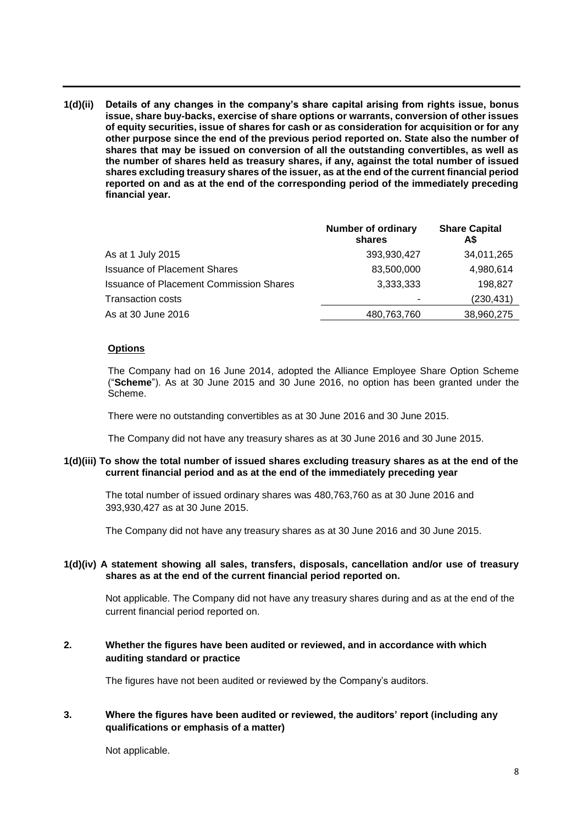**1(d)(ii) Details of any changes in the company's share capital arising from rights issue, bonus issue, share buy-backs, exercise of share options or warrants, conversion of other issues of equity securities, issue of shares for cash or as consideration for acquisition or for any other purpose since the end of the previous period reported on. State also the number of shares that may be issued on conversion of all the outstanding convertibles, as well as the number of shares held as treasury shares, if any, against the total number of issued shares excluding treasury shares of the issuer, as at the end of the current financial period reported on and as at the end of the corresponding period of the immediately preceding financial year.**

|                                                | <b>Number of ordinary</b><br>shares | <b>Share Capital</b><br>A\$ |
|------------------------------------------------|-------------------------------------|-----------------------------|
| As at 1 July 2015                              | 393,930,427                         | 34,011,265                  |
| <b>Issuance of Placement Shares</b>            | 83,500,000                          | 4,980,614                   |
| <b>Issuance of Placement Commission Shares</b> | 3,333,333                           | 198,827                     |
| <b>Transaction costs</b>                       | ٠                                   | (230,431)                   |
| As at 30 June 2016                             | 480,763,760                         | 38,960,275                  |

### **Options**

The Company had on 16 June 2014, adopted the Alliance Employee Share Option Scheme ("**Scheme**"). As at 30 June 2015 and 30 June 2016, no option has been granted under the Scheme.

There were no outstanding convertibles as at 30 June 2016 and 30 June 2015.

The Company did not have any treasury shares as at 30 June 2016 and 30 June 2015.

### **1(d)(iii) To show the total number of issued shares excluding treasury shares as at the end of the current financial period and as at the end of the immediately preceding year**

The total number of issued ordinary shares was 480,763,760 as at 30 June 2016 and 393,930,427 as at 30 June 2015.

The Company did not have any treasury shares as at 30 June 2016 and 30 June 2015.

### **1(d)(iv) A statement showing all sales, transfers, disposals, cancellation and/or use of treasury shares as at the end of the current financial period reported on.**

Not applicable. The Company did not have any treasury shares during and as at the end of the current financial period reported on.

# **2. Whether the figures have been audited or reviewed, and in accordance with which auditing standard or practice**

The figures have not been audited or reviewed by the Company's auditors.

# **3. Where the figures have been audited or reviewed, the auditors' report (including any qualifications or emphasis of a matter)**

Not applicable.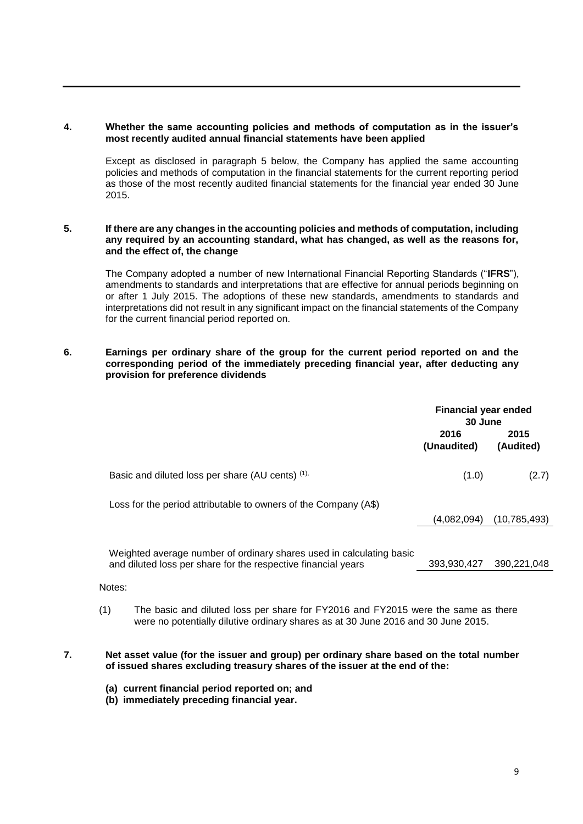# **4. Whether the same accounting policies and methods of computation as in the issuer's most recently audited annual financial statements have been applied**

Except as disclosed in paragraph 5 below, the Company has applied the same accounting policies and methods of computation in the financial statements for the current reporting period as those of the most recently audited financial statements for the financial year ended 30 June 2015.

### **5. If there are any changes in the accounting policies and methods of computation, including any required by an accounting standard, what has changed, as well as the reasons for, and the effect of, the change**

The Company adopted a number of new International Financial Reporting Standards ("**IFRS**"), amendments to standards and interpretations that are effective for annual periods beginning on or after 1 July 2015. The adoptions of these new standards, amendments to standards and interpretations did not result in any significant impact on the financial statements of the Company for the current financial period reported on.

# **6. Earnings per ordinary share of the group for the current period reported on and the corresponding period of the immediately preceding financial year, after deducting any provision for preference dividends**

|                                                                                                                                       | <b>Financial year ended</b><br>30 June |                   |
|---------------------------------------------------------------------------------------------------------------------------------------|----------------------------------------|-------------------|
|                                                                                                                                       | 2016<br>(Unaudited)                    | 2015<br>(Audited) |
| Basic and diluted loss per share (AU cents) (1),                                                                                      | (1.0)                                  | (2.7)             |
| Loss for the period attributable to owners of the Company (A\$)                                                                       |                                        |                   |
|                                                                                                                                       | (4,082,094)                            | (10, 785, 493)    |
| Weighted average number of ordinary shares used in calculating basic<br>and diluted loss per share for the respective financial years | 393,930,427                            | 390,221,048       |
| Notes:                                                                                                                                |                                        |                   |

(1) The basic and diluted loss per share for FY2016 and FY2015 were the same as there were no potentially dilutive ordinary shares as at 30 June 2016 and 30 June 2015.

### **7. Net asset value (for the issuer and group) per ordinary share based on the total number of issued shares excluding treasury shares of the issuer at the end of the:**

- **(a) current financial period reported on; and**
- **(b) immediately preceding financial year.**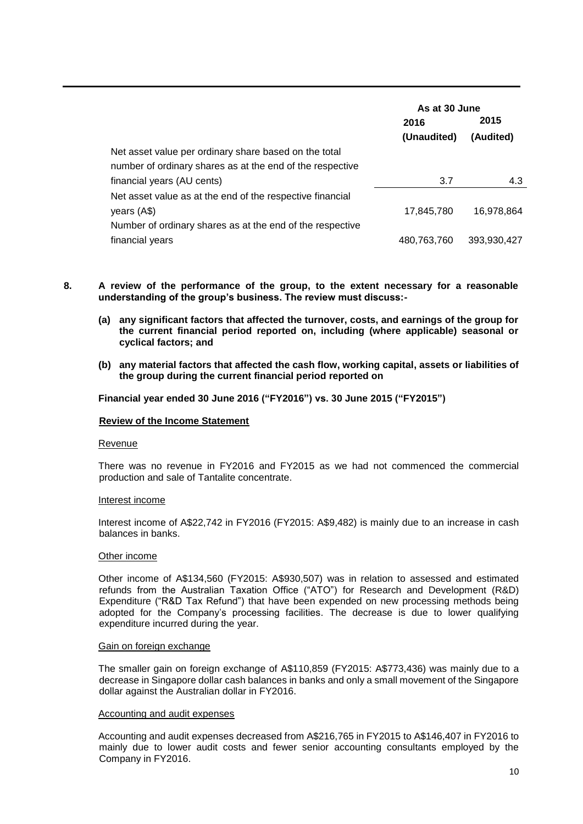|                                                           | As at 30 June |             |
|-----------------------------------------------------------|---------------|-------------|
|                                                           | 2016          | 2015        |
|                                                           | (Unaudited)   | (Audited)   |
| Net asset value per ordinary share based on the total     |               |             |
| number of ordinary shares as at the end of the respective |               |             |
| financial years (AU cents)                                | 3.7           | 4.3         |
| Net asset value as at the end of the respective financial |               |             |
| years (A\$)                                               | 17,845,780    | 16.978.864  |
| Number of ordinary shares as at the end of the respective |               |             |
| financial years                                           | 480,763,760   | 393,930,427 |

- **8. A review of the performance of the group, to the extent necessary for a reasonable understanding of the group's business. The review must discuss:-**
	- **(a) any significant factors that affected the turnover, costs, and earnings of the group for the current financial period reported on, including (where applicable) seasonal or cyclical factors; and**
	- **(b) any material factors that affected the cash flow, working capital, assets or liabilities of the group during the current financial period reported on**

**Financial year ended 30 June 2016 ("FY2016") vs. 30 June 2015 ("FY2015")**

#### **Review of the Income Statement**

#### Revenue

There was no revenue in FY2016 and FY2015 as we had not commenced the commercial production and sale of Tantalite concentrate.

#### Interest income

Interest income of A\$22,742 in FY2016 (FY2015: A\$9,482) is mainly due to an increase in cash balances in banks.

#### Other income

Other income of A\$134,560 (FY2015: A\$930,507) was in relation to assessed and estimated refunds from the Australian Taxation Office ("ATO") for Research and Development (R&D) Expenditure ("R&D Tax Refund") that have been expended on new processing methods being adopted for the Company's processing facilities. The decrease is due to lower qualifying expenditure incurred during the year.

#### Gain on foreign exchange

The smaller gain on foreign exchange of A\$110,859 (FY2015: A\$773,436) was mainly due to a decrease in Singapore dollar cash balances in banks and only a small movement of the Singapore dollar against the Australian dollar in FY2016.

#### Accounting and audit expenses

Accounting and audit expenses decreased from A\$216,765 in FY2015 to A\$146,407 in FY2016 to mainly due to lower audit costs and fewer senior accounting consultants employed by the Company in FY2016.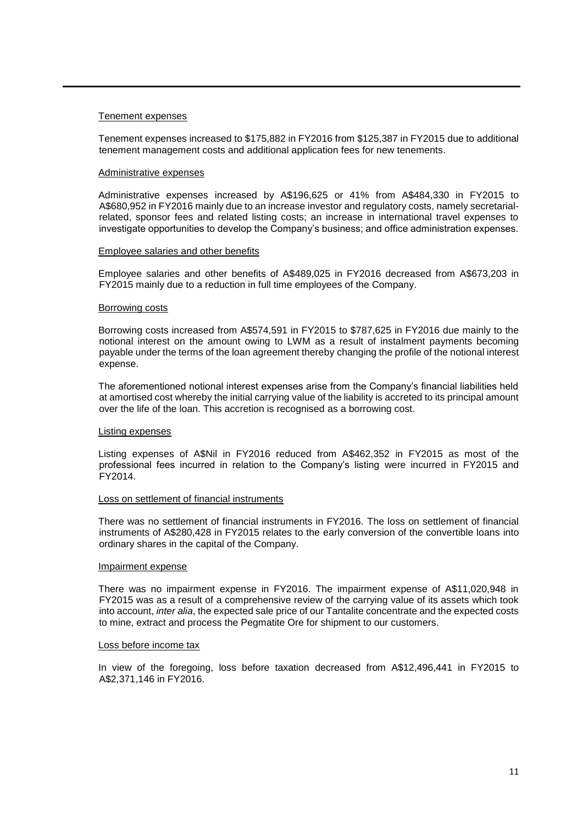#### Tenement expenses

Tenement expenses increased to \$175,882 in FY2016 from \$125,387 in FY2015 due to additional tenement management costs and additional application fees for new tenements.

#### Administrative expenses

Administrative expenses increased by A\$196,625 or 41% from A\$484,330 in FY2015 to A\$680,952 in FY2016 mainly due to an increase investor and regulatory costs, namely secretarialrelated, sponsor fees and related listing costs; an increase in international travel expenses to investigate opportunities to develop the Company's business; and office administration expenses.

#### Employee salaries and other benefits

Employee salaries and other benefits of A\$489,025 in FY2016 decreased from A\$673,203 in FY2015 mainly due to a reduction in full time employees of the Company.

#### Borrowing costs

Borrowing costs increased from A\$574,591 in FY2015 to \$787,625 in FY2016 due mainly to the notional interest on the amount owing to LWM as a result of instalment payments becoming payable under the terms of the loan agreement thereby changing the profile of the notional interest expense.

The aforementioned notional interest expenses arise from the Company's financial liabilities held at amortised cost whereby the initial carrying value of the liability is accreted to its principal amount over the life of the loan. This accretion is recognised as a borrowing cost.

#### Listing expenses

Listing expenses of A\$Nil in FY2016 reduced from A\$462,352 in FY2015 as most of the professional fees incurred in relation to the Company's listing were incurred in FY2015 and FY2014.

#### Loss on settlement of financial instruments

There was no settlement of financial instruments in FY2016. The loss on settlement of financial instruments of A\$280,428 in FY2015 relates to the early conversion of the convertible loans into ordinary shares in the capital of the Company.

#### Impairment expense

There was no impairment expense in FY2016. The impairment expense of A\$11,020,948 in FY2015 was as a result of a comprehensive review of the carrying value of its assets which took into account, *inter alia*, the expected sale price of our Tantalite concentrate and the expected costs to mine, extract and process the Pegmatite Ore for shipment to our customers.

#### Loss before income tax

In view of the foregoing, loss before taxation decreased from A\$12,496,441 in FY2015 to A\$2,371,146 in FY2016.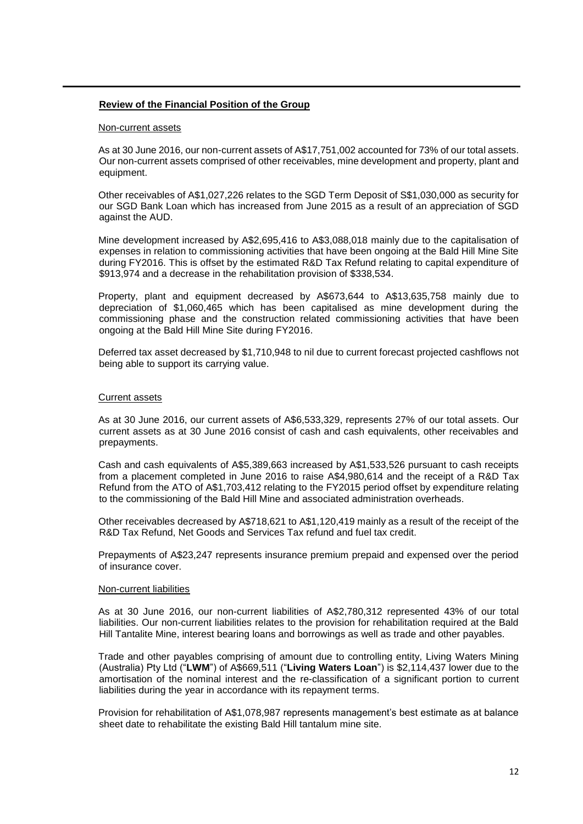### **Review of the Financial Position of the Group**

#### Non-current assets

As at 30 June 2016, our non-current assets of A\$17,751,002 accounted for 73% of our total assets. Our non-current assets comprised of other receivables, mine development and property, plant and equipment.

Other receivables of A\$1,027,226 relates to the SGD Term Deposit of S\$1,030,000 as security for our SGD Bank Loan which has increased from June 2015 as a result of an appreciation of SGD against the AUD.

Mine development increased by A\$2,695,416 to A\$3,088,018 mainly due to the capitalisation of expenses in relation to commissioning activities that have been ongoing at the Bald Hill Mine Site during FY2016. This is offset by the estimated R&D Tax Refund relating to capital expenditure of \$913,974 and a decrease in the rehabilitation provision of \$338,534.

Property, plant and equipment decreased by A\$673,644 to A\$13,635,758 mainly due to depreciation of \$1,060,465 which has been capitalised as mine development during the commissioning phase and the construction related commissioning activities that have been ongoing at the Bald Hill Mine Site during FY2016.

Deferred tax asset decreased by \$1,710,948 to nil due to current forecast projected cashflows not being able to support its carrying value.

### Current assets

As at 30 June 2016, our current assets of A\$6,533,329, represents 27% of our total assets. Our current assets as at 30 June 2016 consist of cash and cash equivalents, other receivables and prepayments.

Cash and cash equivalents of A\$5,389,663 increased by A\$1,533,526 pursuant to cash receipts from a placement completed in June 2016 to raise A\$4,980,614 and the receipt of a R&D Tax Refund from the ATO of A\$1,703,412 relating to the FY2015 period offset by expenditure relating to the commissioning of the Bald Hill Mine and associated administration overheads.

Other receivables decreased by A\$718,621 to A\$1,120,419 mainly as a result of the receipt of the R&D Tax Refund, Net Goods and Services Tax refund and fuel tax credit.

Prepayments of A\$23,247 represents insurance premium prepaid and expensed over the period of insurance cover.

#### Non-current liabilities

As at 30 June 2016, our non-current liabilities of A\$2,780,312 represented 43% of our total liabilities. Our non-current liabilities relates to the provision for rehabilitation required at the Bald Hill Tantalite Mine, interest bearing loans and borrowings as well as trade and other payables.

Trade and other payables comprising of amount due to controlling entity, Living Waters Mining (Australia) Pty Ltd ("**LWM**") of A\$669,511 ("**Living Waters Loan**") is \$2,114,437 lower due to the amortisation of the nominal interest and the re-classification of a significant portion to current liabilities during the year in accordance with its repayment terms.

Provision for rehabilitation of A\$1,078,987 represents management's best estimate as at balance sheet date to rehabilitate the existing Bald Hill tantalum mine site.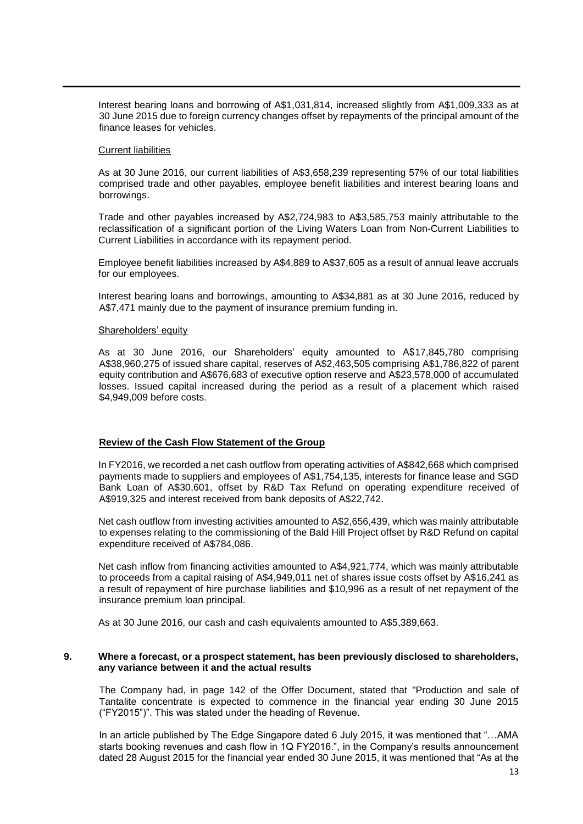Interest bearing loans and borrowing of A\$1,031,814, increased slightly from A\$1,009,333 as at 30 June 2015 due to foreign currency changes offset by repayments of the principal amount of the finance leases for vehicles.

#### Current liabilities

As at 30 June 2016, our current liabilities of A\$3,658,239 representing 57% of our total liabilities comprised trade and other payables, employee benefit liabilities and interest bearing loans and borrowings.

Trade and other payables increased by A\$2,724,983 to A\$3,585,753 mainly attributable to the reclassification of a significant portion of the Living Waters Loan from Non-Current Liabilities to Current Liabilities in accordance with its repayment period.

Employee benefit liabilities increased by A\$4,889 to A\$37,605 as a result of annual leave accruals for our employees.

Interest bearing loans and borrowings, amounting to A\$34,881 as at 30 June 2016, reduced by A\$7,471 mainly due to the payment of insurance premium funding in.

#### Shareholders' equity

As at 30 June 2016, our Shareholders' equity amounted to A\$17,845,780 comprising A\$38,960,275 of issued share capital, reserves of A\$2,463,505 comprising A\$1,786,822 of parent equity contribution and A\$676,683 of executive option reserve and A\$23,578,000 of accumulated losses. Issued capital increased during the period as a result of a placement which raised \$4,949,009 before costs.

### **Review of the Cash Flow Statement of the Group**

In FY2016, we recorded a net cash outflow from operating activities of A\$842,668 which comprised payments made to suppliers and employees of A\$1,754,135, interests for finance lease and SGD Bank Loan of A\$30,601, offset by R&D Tax Refund on operating expenditure received of A\$919,325 and interest received from bank deposits of A\$22,742.

Net cash outflow from investing activities amounted to A\$2,656,439, which was mainly attributable to expenses relating to the commissioning of the Bald Hill Project offset by R&D Refund on capital expenditure received of A\$784,086.

Net cash inflow from financing activities amounted to A\$4,921,774, which was mainly attributable to proceeds from a capital raising of A\$4,949,011 net of shares issue costs offset by A\$16,241 as a result of repayment of hire purchase liabilities and \$10,996 as a result of net repayment of the insurance premium loan principal.

As at 30 June 2016, our cash and cash equivalents amounted to A\$5,389,663.

#### **9. Where a forecast, or a prospect statement, has been previously disclosed to shareholders, any variance between it and the actual results**

The Company had, in page 142 of the Offer Document, stated that "Production and sale of Tantalite concentrate is expected to commence in the financial year ending 30 June 2015 ("FY2015")". This was stated under the heading of Revenue.

In an article published by The Edge Singapore dated 6 July 2015, it was mentioned that "…AMA starts booking revenues and cash flow in 1Q FY2016.", in the Company's results announcement dated 28 August 2015 for the financial year ended 30 June 2015, it was mentioned that "As at the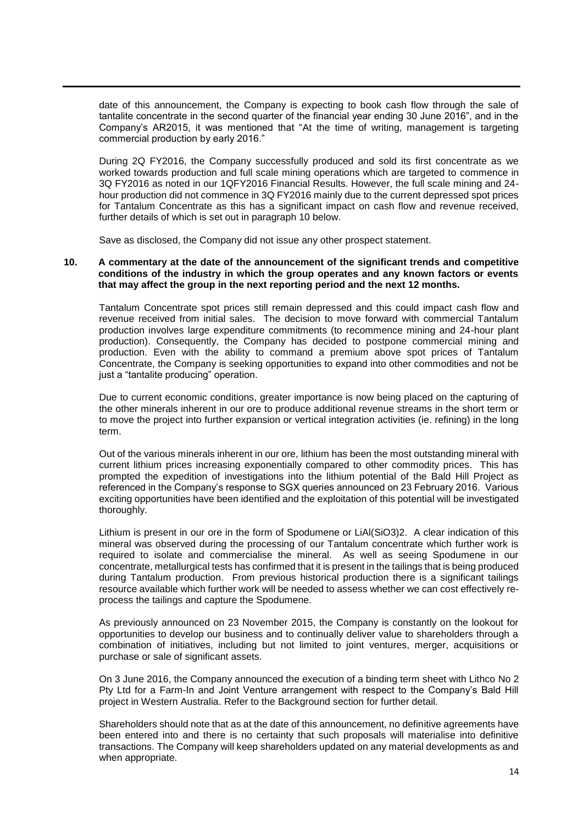date of this announcement, the Company is expecting to book cash flow through the sale of tantalite concentrate in the second quarter of the financial year ending 30 June 2016", and in the Company's AR2015, it was mentioned that "At the time of writing, management is targeting commercial production by early 2016."

During 2Q FY2016, the Company successfully produced and sold its first concentrate as we worked towards production and full scale mining operations which are targeted to commence in 3Q FY2016 as noted in our 1QFY2016 Financial Results. However, the full scale mining and 24 hour production did not commence in 3Q FY2016 mainly due to the current depressed spot prices for Tantalum Concentrate as this has a significant impact on cash flow and revenue received, further details of which is set out in paragraph 10 below.

Save as disclosed, the Company did not issue any other prospect statement.

### **10. A commentary at the date of the announcement of the significant trends and competitive conditions of the industry in which the group operates and any known factors or events that may affect the group in the next reporting period and the next 12 months.**

Tantalum Concentrate spot prices still remain depressed and this could impact cash flow and revenue received from initial sales. The decision to move forward with commercial Tantalum production involves large expenditure commitments (to recommence mining and 24-hour plant production). Consequently, the Company has decided to postpone commercial mining and production. Even with the ability to command a premium above spot prices of Tantalum Concentrate, the Company is seeking opportunities to expand into other commodities and not be just a "tantalite producing" operation.

Due to current economic conditions, greater importance is now being placed on the capturing of the other minerals inherent in our ore to produce additional revenue streams in the short term or to move the project into further expansion or vertical integration activities (ie. refining) in the long term.

Out of the various minerals inherent in our ore, lithium has been the most outstanding mineral with current lithium prices increasing exponentially compared to other commodity prices. This has prompted the expedition of investigations into the lithium potential of the Bald Hill Project as referenced in the Company's response to SGX queries announced on 23 February 2016. Various exciting opportunities have been identified and the exploitation of this potential will be investigated thoroughly.

Lithium is present in our ore in the form of Spodumene or LiAl(SiO3)2. A clear indication of this mineral was observed during the processing of our Tantalum concentrate which further work is required to isolate and commercialise the mineral. As well as seeing Spodumene in our concentrate, metallurgical tests has confirmed that it is present in the tailings that is being produced during Tantalum production. From previous historical production there is a significant tailings resource available which further work will be needed to assess whether we can cost effectively reprocess the tailings and capture the Spodumene.

As previously announced on 23 November 2015, the Company is constantly on the lookout for opportunities to develop our business and to continually deliver value to shareholders through a combination of initiatives, including but not limited to joint ventures, merger, acquisitions or purchase or sale of significant assets.

On 3 June 2016, the Company announced the execution of a binding term sheet with Lithco No 2 Pty Ltd for a Farm-In and Joint Venture arrangement with respect to the Company's Bald Hill project in Western Australia. Refer to the Background section for further detail.

Shareholders should note that as at the date of this announcement, no definitive agreements have been entered into and there is no certainty that such proposals will materialise into definitive transactions. The Company will keep shareholders updated on any material developments as and when appropriate.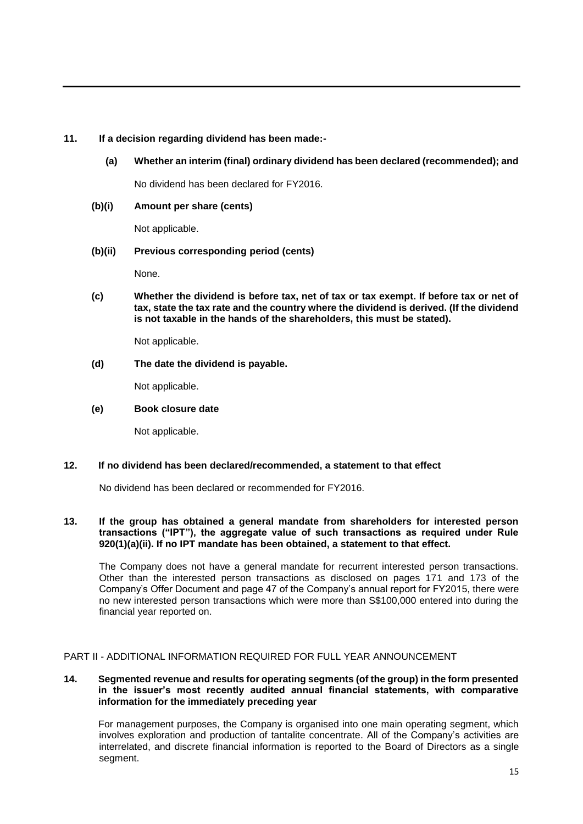# **11. If a decision regarding dividend has been made:-**

**(a) Whether an interim (final) ordinary dividend has been declared (recommended); and**

No dividend has been declared for FY2016.

**(b)(i) Amount per share (cents)**

Not applicable.

# **(b)(ii) Previous corresponding period (cents)**

None.

**(c) Whether the dividend is before tax, net of tax or tax exempt. If before tax or net of tax, state the tax rate and the country where the dividend is derived. (If the dividend is not taxable in the hands of the shareholders, this must be stated).**

Not applicable.

**(d) The date the dividend is payable.**

Not applicable.

**(e) Book closure date**

Not applicable.

# **12. If no dividend has been declared/recommended, a statement to that effect**

No dividend has been declared or recommended for FY2016.

# **13. If the group has obtained a general mandate from shareholders for interested person transactions ("IPT"), the aggregate value of such transactions as required under Rule 920(1)(a)(ii). If no IPT mandate has been obtained, a statement to that effect.**

The Company does not have a general mandate for recurrent interested person transactions. Other than the interested person transactions as disclosed on pages 171 and 173 of the Company's Offer Document and page 47 of the Company's annual report for FY2015, there were no new interested person transactions which were more than S\$100,000 entered into during the financial year reported on.

# PART II - ADDITIONAL INFORMATION REQUIRED FOR FULL YEAR ANNOUNCEMENT

### **14. Segmented revenue and results for operating segments (of the group) in the form presented in the issuer's most recently audited annual financial statements, with comparative information for the immediately preceding year**

For management purposes, the Company is organised into one main operating segment, which involves exploration and production of tantalite concentrate. All of the Company's activities are interrelated, and discrete financial information is reported to the Board of Directors as a single segment.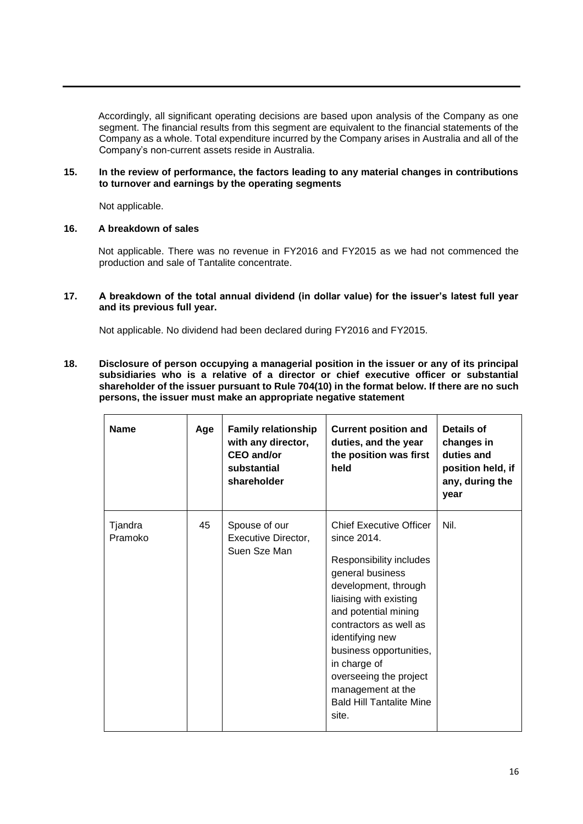Accordingly, all significant operating decisions are based upon analysis of the Company as one segment. The financial results from this segment are equivalent to the financial statements of the Company as a whole. Total expenditure incurred by the Company arises in Australia and all of the Company's non-current assets reside in Australia.

### **15. In the review of performance, the factors leading to any material changes in contributions to turnover and earnings by the operating segments**

Not applicable.

### **16. A breakdown of sales**

Not applicable. There was no revenue in FY2016 and FY2015 as we had not commenced the production and sale of Tantalite concentrate.

### **17. A breakdown of the total annual dividend (in dollar value) for the issuer's latest full year and its previous full year.**

Not applicable. No dividend had been declared during FY2016 and FY2015.

**18. Disclosure of person occupying a managerial position in the issuer or any of its principal subsidiaries who is a relative of a director or chief executive officer or substantial shareholder of the issuer pursuant to Rule 704(10) in the format below. If there are no such persons, the issuer must make an appropriate negative statement**

| <b>Name</b>        | Age | <b>Family relationship</b><br>with any director,<br><b>CEO</b> and/or<br>substantial<br>shareholder | <b>Current position and</b><br>duties, and the year<br>the position was first<br>held                                                                                                                                                                                                                                                                     | Details of<br>changes in<br>duties and<br>position held, if<br>any, during the<br>year |
|--------------------|-----|-----------------------------------------------------------------------------------------------------|-----------------------------------------------------------------------------------------------------------------------------------------------------------------------------------------------------------------------------------------------------------------------------------------------------------------------------------------------------------|----------------------------------------------------------------------------------------|
| Tjandra<br>Pramoko | 45  | Spouse of our<br>Executive Director,<br>Suen Sze Man                                                | <b>Chief Executive Officer</b><br>since 2014.<br>Responsibility includes<br>general business<br>development, through<br>liaising with existing<br>and potential mining<br>contractors as well as<br>identifying new<br>business opportunities,<br>in charge of<br>overseeing the project<br>management at the<br><b>Bald Hill Tantalite Mine</b><br>site. | Nil.                                                                                   |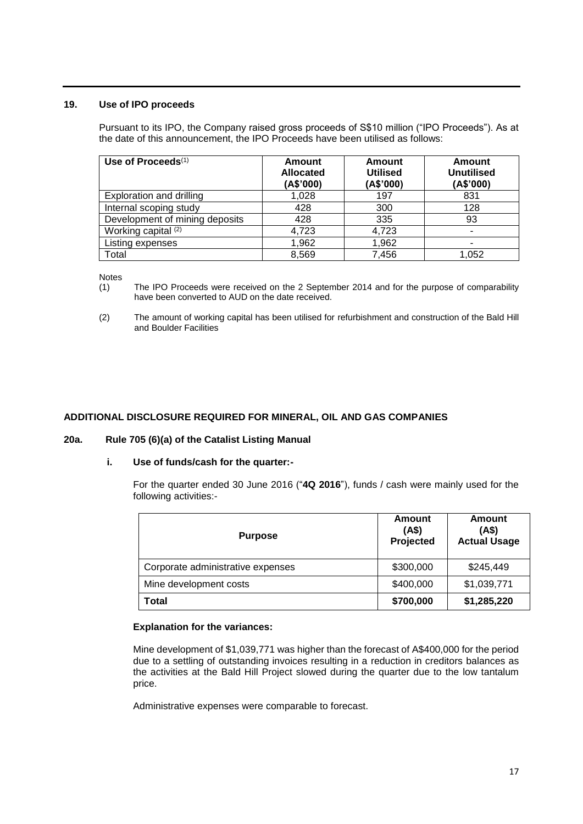### **19. Use of IPO proceeds**

Pursuant to its IPO, the Company raised gross proceeds of S\$10 million ("IPO Proceeds"). As at the date of this announcement, the IPO Proceeds have been utilised as follows:

| Use of Proceeds $(1)$          | <b>Amount</b><br>Allocated<br>(A\$'000) | Amount<br><b>Utilised</b><br>(A\$'000) | Amount<br>Unutilised<br>(A\$'000) |
|--------------------------------|-----------------------------------------|----------------------------------------|-----------------------------------|
| Exploration and drilling       | 1,028                                   | 197                                    | 831                               |
| Internal scoping study         | 428                                     | 300                                    | 128                               |
| Development of mining deposits | 428                                     | 335                                    | 93                                |
| Working capital (2)            | 4,723                                   | 4,723                                  | $\blacksquare$                    |
| Listing expenses               | 1,962                                   | 1,962                                  |                                   |
| Total                          | 8,569                                   | 7,456                                  | 1,052                             |

Notes

- (1) The IPO Proceeds were received on the 2 September 2014 and for the purpose of comparability have been converted to AUD on the date received.
- (2) The amount of working capital has been utilised for refurbishment and construction of the Bald Hill and Boulder Facilities

# **ADDITIONAL DISCLOSURE REQUIRED FOR MINERAL, OIL AND GAS COMPANIES**

### **20a. Rule 705 (6)(a) of the Catalist Listing Manual**

### **i. Use of funds/cash for the quarter:-**

For the quarter ended 30 June 2016 ("**4Q 2016**"), funds / cash were mainly used for the following activities:-

| <b>Purpose</b>                    | Amount<br>(4\$)<br>Projected | Amount<br>(A\$)<br><b>Actual Usage</b> |  |
|-----------------------------------|------------------------------|----------------------------------------|--|
| Corporate administrative expenses | \$300,000                    | \$245,449                              |  |
| Mine development costs            | \$400,000                    | \$1,039,771                            |  |
| Total                             | \$700,000                    | \$1,285,220                            |  |

### **Explanation for the variances:**

Mine development of \$1,039,771 was higher than the forecast of A\$400,000 for the period due to a settling of outstanding invoices resulting in a reduction in creditors balances as the activities at the Bald Hill Project slowed during the quarter due to the low tantalum price.

Administrative expenses were comparable to forecast.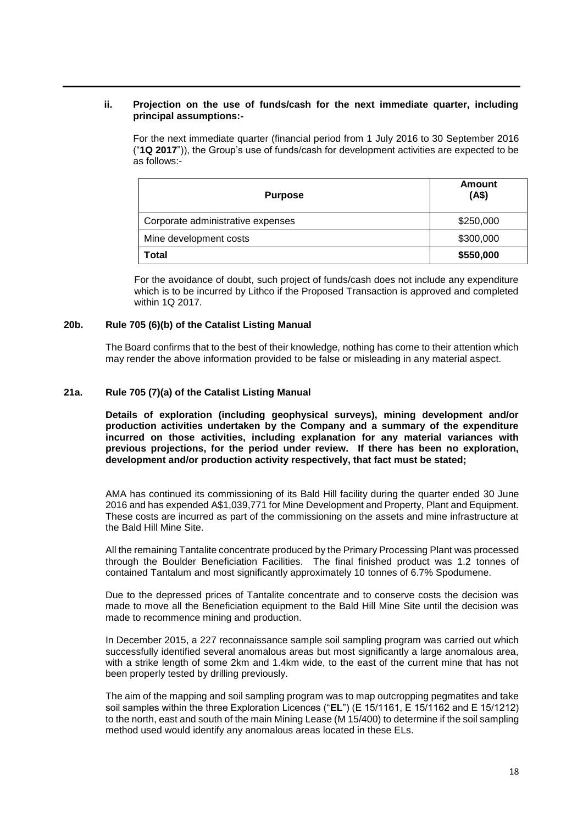### **ii. Projection on the use of funds/cash for the next immediate quarter, including principal assumptions:-**

For the next immediate quarter (financial period from 1 July 2016 to 30 September 2016 ("**1Q 2017**")), the Group's use of funds/cash for development activities are expected to be as follows:-

| <b>Purpose</b>                    | Amount<br>(AS) |  |  |
|-----------------------------------|----------------|--|--|
| Corporate administrative expenses | \$250,000      |  |  |
| Mine development costs            | \$300,000      |  |  |
| Total                             | \$550,000      |  |  |

For the avoidance of doubt, such project of funds/cash does not include any expenditure which is to be incurred by Lithco if the Proposed Transaction is approved and completed within 1Q 2017.

### **20b. Rule 705 (6)(b) of the Catalist Listing Manual**

The Board confirms that to the best of their knowledge, nothing has come to their attention which may render the above information provided to be false or misleading in any material aspect.

### **21a. Rule 705 (7)(a) of the Catalist Listing Manual**

**Details of exploration (including geophysical surveys), mining development and/or production activities undertaken by the Company and a summary of the expenditure incurred on those activities, including explanation for any material variances with previous projections, for the period under review. If there has been no exploration, development and/or production activity respectively, that fact must be stated;**

AMA has continued its commissioning of its Bald Hill facility during the quarter ended 30 June 2016 and has expended A\$1,039,771 for Mine Development and Property, Plant and Equipment. These costs are incurred as part of the commissioning on the assets and mine infrastructure at the Bald Hill Mine Site.

All the remaining Tantalite concentrate produced by the Primary Processing Plant was processed through the Boulder Beneficiation Facilities. The final finished product was 1.2 tonnes of contained Tantalum and most significantly approximately 10 tonnes of 6.7% Spodumene.

Due to the depressed prices of Tantalite concentrate and to conserve costs the decision was made to move all the Beneficiation equipment to the Bald Hill Mine Site until the decision was made to recommence mining and production.

In December 2015, a 227 reconnaissance sample soil sampling program was carried out which successfully identified several anomalous areas but most significantly a large anomalous area, with a strike length of some 2km and 1.4km wide, to the east of the current mine that has not been properly tested by drilling previously.

The aim of the mapping and soil sampling program was to map outcropping pegmatites and take soil samples within the three Exploration Licences ("**EL**") (E 15/1161, E 15/1162 and E 15/1212) to the north, east and south of the main Mining Lease (M 15/400) to determine if the soil sampling method used would identify any anomalous areas located in these ELs.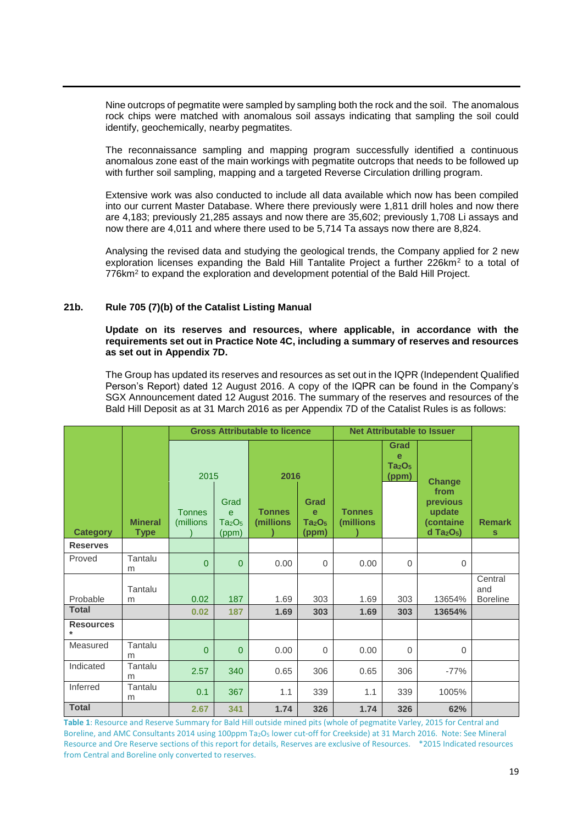Nine outcrops of pegmatite were sampled by sampling both the rock and the soil. The anomalous rock chips were matched with anomalous soil assays indicating that sampling the soil could identify, geochemically, nearby pegmatites.

The reconnaissance sampling and mapping program successfully identified a continuous anomalous zone east of the main workings with pegmatite outcrops that needs to be followed up with further soil sampling, mapping and a targeted Reverse Circulation drilling program.

Extensive work was also conducted to include all data available which now has been compiled into our current Master Database. Where there previously were 1,811 drill holes and now there are 4,183; previously 21,285 assays and now there are 35,602; previously 1,708 Li assays and now there are 4,011 and where there used to be 5,714 Ta assays now there are 8,824.

Analysing the revised data and studying the geological trends, the Company applied for 2 new exploration licenses expanding the Bald Hill Tantalite Project a further 226km<sup>2</sup> to a total of 776km<sup>2</sup> to expand the exploration and development potential of the Bald Hill Project.

### **21b. Rule 705 (7)(b) of the Catalist Listing Manual**

### **Update on its reserves and resources, where applicable, in accordance with the requirements set out in Practice Note 4C, including a summary of reserves and resources as set out in Appendix 7D.**

The Group has updated its reserves and resources as set out in the IQPR (Independent Qualified Person's Report) dated 12 August 2016. A copy of the IQPR can be found in the Company's SGX Announcement dated 12 August 2016. The summary of the reserves and resources of the Bald Hill Deposit as at 31 March 2016 as per Appendix 7D of the Catalist Rules is as follows:

|                            |                               | <b>Gross Attributable to licence</b> |                                                                |                            | <b>Net Attributable to Issuer</b>                               |                                                      |                       |                                                                         |                                   |
|----------------------------|-------------------------------|--------------------------------------|----------------------------------------------------------------|----------------------------|-----------------------------------------------------------------|------------------------------------------------------|-----------------------|-------------------------------------------------------------------------|-----------------------------------|
|                            |                               |                                      | 2016<br>2015                                                   |                            |                                                                 | Grad<br>e<br>Ta <sub>2</sub> O <sub>5</sub><br>(ppm) | <b>Change</b><br>from |                                                                         |                                   |
| <b>Category</b>            | <b>Mineral</b><br><b>Type</b> | <b>Tonnes</b><br>(millions           | Grad<br>$\mathbf e$<br>Ta <sub>2</sub> O <sub>5</sub><br>(ppm) | <b>Tonnes</b><br>(millions | Grad<br>$\mathbf{e}$<br>Ta <sub>2</sub> O <sub>5</sub><br>(ppm) | <b>Tonnes</b><br>(millions                           |                       | previous<br>update<br>(containe<br>$d$ Ta <sub>2</sub> O <sub>5</sub> ) | <b>Remark</b><br>S                |
| <b>Reserves</b>            |                               |                                      |                                                                |                            |                                                                 |                                                      |                       |                                                                         |                                   |
| Proved                     | Tantalu<br>m                  | $\overline{0}$                       | $\mathbf{0}$                                                   | 0.00                       | $\mathbf 0$                                                     | 0.00                                                 | $\mathbf 0$           | $\mathbf 0$                                                             |                                   |
| Probable                   | Tantalu<br>m                  | 0.02                                 | 187                                                            | 1.69                       | 303                                                             | 1.69                                                 | 303                   | 13654%                                                                  | Central<br>and<br><b>Boreline</b> |
| <b>Total</b>               |                               | 0.02                                 | 187                                                            | 1.69                       | 303                                                             | 1.69                                                 | 303                   | 13654%                                                                  |                                   |
| <b>Resources</b><br>$\ast$ |                               |                                      |                                                                |                            |                                                                 |                                                      |                       |                                                                         |                                   |
| Measured                   | Tantalu<br>m                  | $\overline{0}$                       | $\mathbf{0}$                                                   | 0.00                       | $\mathbf 0$                                                     | 0.00                                                 | $\Omega$              | $\Omega$                                                                |                                   |
| Indicated                  | Tantalu<br>m                  | 2.57                                 | 340                                                            | 0.65                       | 306                                                             | 0.65                                                 | 306                   | $-77%$                                                                  |                                   |
| Inferred                   | Tantalu<br>m                  | 0.1                                  | 367                                                            | 1.1                        | 339                                                             | 1.1                                                  | 339                   | 1005%                                                                   |                                   |
| <b>Total</b>               |                               | 2.67                                 | 341                                                            | 1.74                       | 326                                                             | 1.74                                                 | 326                   | 62%                                                                     |                                   |

**Table 1**: Resource and Reserve Summary for Bald Hill outside mined pits (whole of pegmatite Varley, 2015 for Central and Boreline, and AMC Consultants 2014 using 100ppm Ta<sub>2</sub>O<sub>5</sub> lower cut-off for Creekside) at 31 March 2016. Note: See Mineral Resource and Ore Reserve sections of this report for details, Reserves are exclusive of Resources. \*2015 Indicated resources from Central and Boreline only converted to reserves.